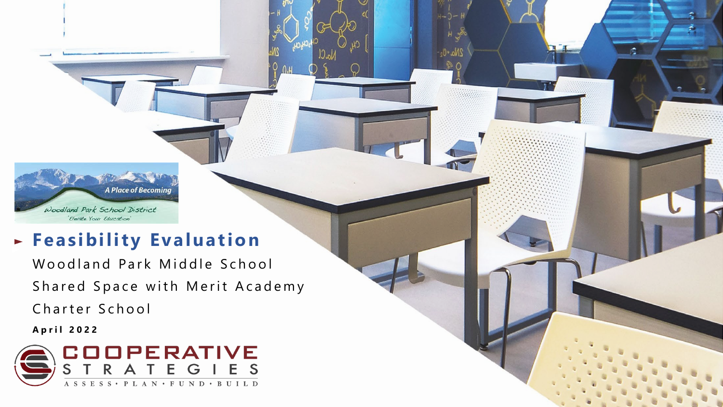A Place of Becoming Woodland Park School District 'Elevate Your Education'

# **Feasibility Evaluation**

Woodland Park Middle School Shared Space with Merit Academy Charter School

No ∙ ∪

**April 2022**

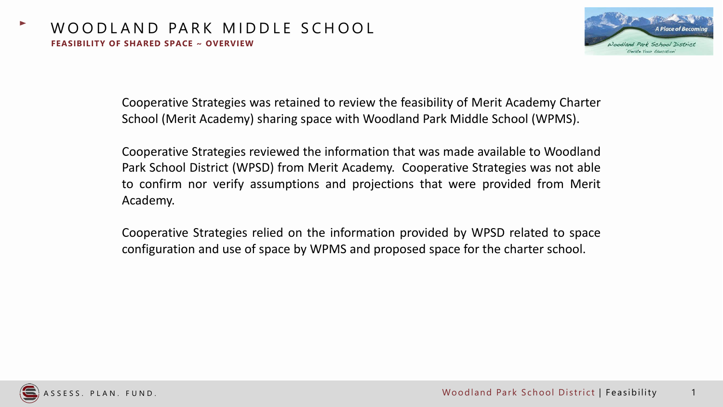

Cooperative Strategies was retained to review the feasibility of Merit Academy Charter School (Merit Academy) sharing space with Woodland Park Middle School (WPMS).

Cooperative Strategies reviewed the information that was made available to Woodland Park School District (WPSD) from Merit Academy. Cooperative Strategies was not able to confirm nor verify assumptions and projections that were provided from Merit Academy.

Cooperative Strategies relied on the information provided by WPSD related to space configuration and use of space by WPMS and proposed space for the charter school.

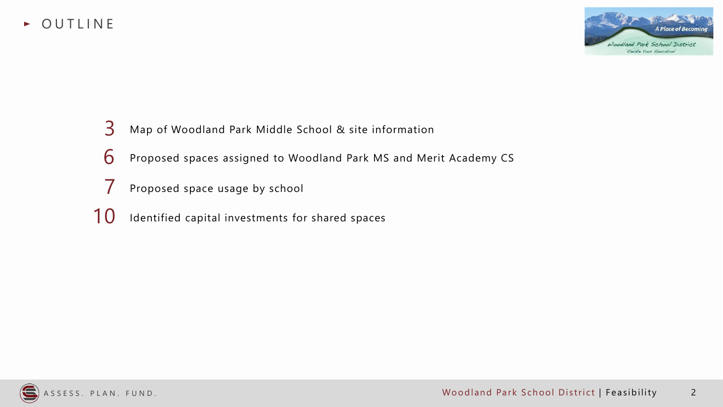



- Map of Woodland Park Middle School & site information
- Proposed spaces assigned to Woodland Park MS and Merit Academy CS
- Proposed space usage by school
- Identified capital investments for shared spaces

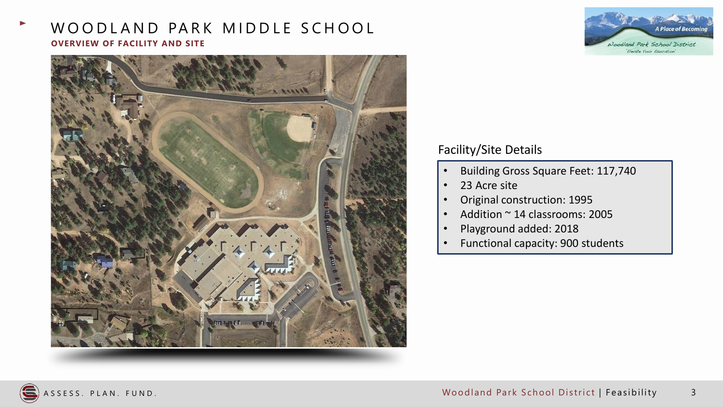# WOODLAND PARK MIDDLE SCHOOL **OVERVIEW OF FACILITY AND SITE**





# Facility/Site Details

- Building Gross Square Feet: 117,740
- 23 Acre site
- Original construction: 1995
- Addition ~ 14 classrooms: 2005
- Playground added: 2018
- Functional capacity: 900 students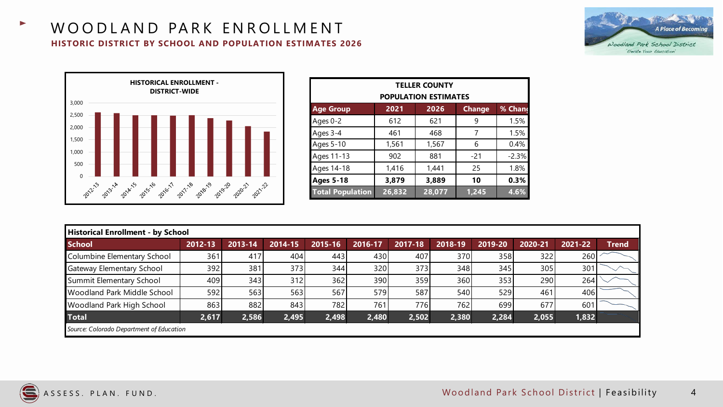#### WOODLAND PARK ENROLLMENT **HISTORIC DISTRICT BY SCHOOL AND POPULATION ESTIMATES 2026**





| <b>TELLER COUNTY</b><br><b>POPULATION ESTIMATES</b> |        |                       |       |         |  |  |
|-----------------------------------------------------|--------|-----------------------|-------|---------|--|--|
| <b>Age Group</b>                                    | 2021   | 2026<br><b>Change</b> |       | % Chand |  |  |
| Ages 0-2                                            | 612    | 621                   | 9     | 1.5%    |  |  |
| Ages 3-4                                            | 461    | 468                   | 7     | 1.5%    |  |  |
| Ages 5-10                                           | 1,561  | 1,567                 | 6     | 0.4%    |  |  |
| Ages 11-13                                          | 902    | 881                   | $-21$ | $-2.3%$ |  |  |
| Ages 14-18                                          | 1,416  | 1,441                 | 25    | 1.8%    |  |  |
| <b>Ages 5-18</b>                                    | 3,879  | 3,889                 | 10    | 0.3%    |  |  |
| <b>Total Population</b>                             | 26,832 | 28,077                | 1,245 | 4.6%    |  |  |

| Historical Enrollment - by School        |         |         |         |         |         |         |         |         |         |         |              |
|------------------------------------------|---------|---------|---------|---------|---------|---------|---------|---------|---------|---------|--------------|
| <b>School</b>                            | 2012-13 | 2013-14 | 2014-15 | 2015-16 | 2016-17 | 2017-18 | 2018-19 | 2019-20 | 2020-21 | 2021-22 | <b>Trend</b> |
| Columbine Elementary School              | 361     | 417     | 404     | 443     | 430     | 407     | 370     | 358     | 322     | 260     |              |
| <b>Gateway Elementary School</b>         | 392     | 381     | 373     | 344     | 320     | 373     | 348     | 345     | 305     | 301     |              |
| Summit Elementary School                 | 409     | 343     | 312     | 362     | 390     | 359     | 360     | 353     | 290     | 264     |              |
| <b>Woodland Park Middle School</b>       | 592     | 563     | 563     | 567     | 579     | 587     | 540     | 529     | 461     | 406     |              |
| <b>Woodland Park High School</b>         | 863     | 882     | 843     | 782     | 761     | 776     | 762     | 699     | 677     | 601     |              |
| <b>Total</b>                             | 2,617   | 2,586   | 2,495   | 2,498   | 2,480   | 2,502   | 2,380   | 2,284   | 2,055   | 1,832   |              |
| Source: Colorado Department of Education |         |         |         |         |         |         |         |         |         |         |              |

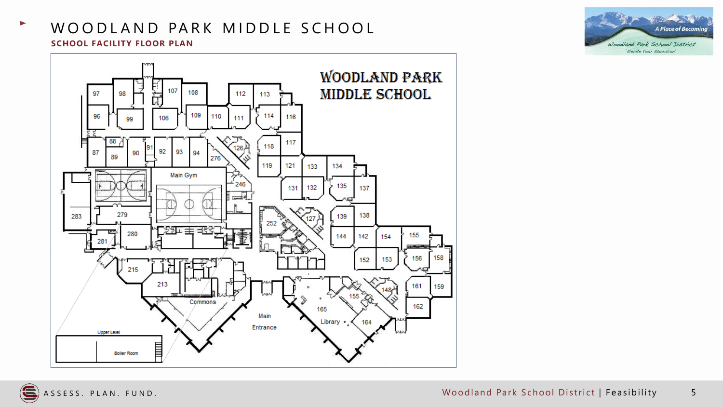



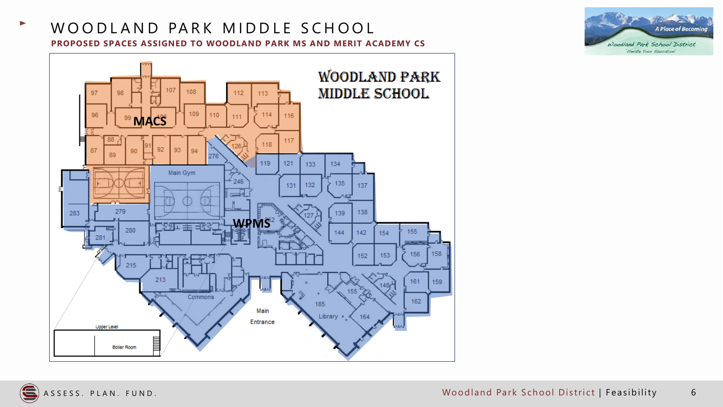### WOODLAND PARK MIDDLE SCHOOL **PROPOSED SPACES ASSIGNED TO WOODLAND PARK MS AND MERIT ACADEMY CS**



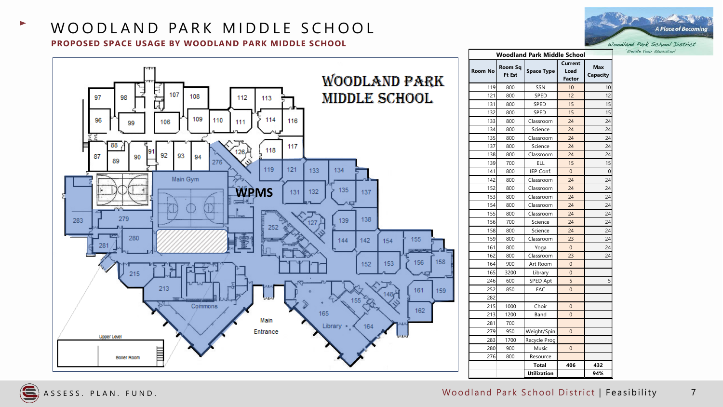#### WOODLAND PARK MIDDLE SCHOOL **PROPOSED SPACE USAGE BY WOODLAND PARK MIDDLE SCHOOL**

|            | <b>Woodland Park Middle School</b> |                   |                    |                                         |                        |  |  |
|------------|------------------------------------|-------------------|--------------------|-----------------------------------------|------------------------|--|--|
| ARK        | <b>Room No</b>                     | Room Sq<br>Ft Est | <b>Space Type</b>  | <b>Current</b><br>Load<br><b>Factor</b> | <b>Max</b><br>Capacity |  |  |
|            | 119                                | 800               | SSN                | 10                                      | 10                     |  |  |
| ЮI         | 121                                | 800               | SPED               | 12                                      | 12                     |  |  |
|            | 131                                | 800               | SPED               | 15                                      | 15                     |  |  |
|            | 132                                | 800               | SPED               | 15                                      | 15                     |  |  |
|            | 133                                | 800               | Classroom          | 24                                      | 24                     |  |  |
|            | 134                                | 800               | Science            | 24                                      | 24                     |  |  |
|            | 135                                | 800               | Classroom          | 24                                      | 24                     |  |  |
|            | 137                                | 800               | Science            | 24                                      | 24                     |  |  |
|            | 138                                | 800               | Classroom          | 24                                      | 24                     |  |  |
|            | 139                                | 700               | ELL                | 15                                      | 15                     |  |  |
|            | 141                                | 800               | IEP Conf.          | $\mathbf{0}$                            | 0                      |  |  |
|            | 142                                | 800               | Classroom          | 24                                      | 24                     |  |  |
|            | 152                                | 800               | Classroom          | 24                                      | 24                     |  |  |
|            | 153                                | 800               | Classroom          | 24                                      | 24                     |  |  |
|            | 154                                | 800               | Classroom          | 24                                      | 24                     |  |  |
|            | 155                                | 800               | Classroom          | 24                                      | 24                     |  |  |
|            | 156                                | 700               | Science            | 24                                      | 24                     |  |  |
|            | 158                                | 800               | Science            | 24                                      | 24                     |  |  |
| 55         | 159                                | 800               | Classroom          | 23                                      | 24                     |  |  |
|            | 161                                | 800               | Yoga               | $\mathbf{0}$                            | 24                     |  |  |
|            | 162                                | 800               | Classroom          | 23                                      | 24                     |  |  |
| 158<br>156 | 164                                | 900               | Art Room           | $\Omega$                                |                        |  |  |
|            | 165                                | 3200              | Library            | 0                                       |                        |  |  |
|            | 246                                | 600               | SPED Apt           | 5                                       | 5                      |  |  |
| 161<br>159 | 252                                | 850               | <b>FAC</b>         | $\overline{0}$                          |                        |  |  |
|            | 282                                |                   |                    |                                         |                        |  |  |
|            | 215                                | 1000              | Choir              | 0                                       |                        |  |  |
| 162        | 213                                | 1200              | Band               | $\mathbf{0}$                            |                        |  |  |
|            | 281                                | 700               |                    |                                         |                        |  |  |
|            | 279                                | 950               | Weight/Spin        | $\mathbf{0}$                            |                        |  |  |
|            | 283                                | 1700              | Recycle Prog       |                                         |                        |  |  |
|            | 280                                | 900               | Music              | $\mathbf{0}$                            |                        |  |  |
|            | 276                                | 800               | Resource           |                                         |                        |  |  |
|            |                                    |                   | Total              | 406                                     | 432                    |  |  |
|            |                                    |                   | <b>Utilization</b> |                                         | 94%                    |  |  |







'Elevate Your Education'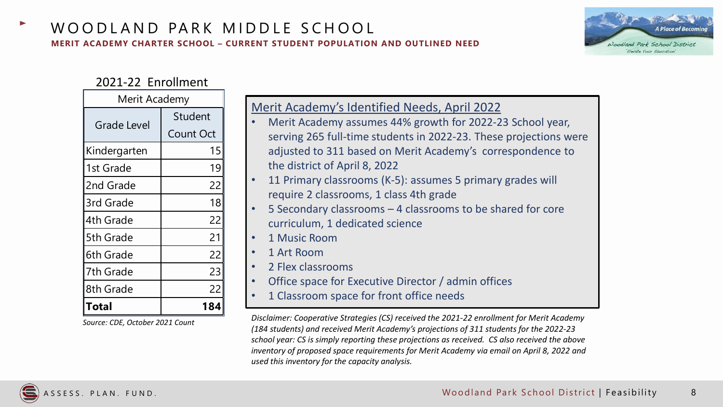

#### 2021-22 Enrollment

| Merit Academy |           |  |  |  |
|---------------|-----------|--|--|--|
| Grade Level   | Student   |  |  |  |
|               | Count Oct |  |  |  |
| Kindergarten  | 15        |  |  |  |
| 1st Grade     | 19        |  |  |  |
| 2nd Grade     | 22        |  |  |  |
| 3rd Grade     | 18        |  |  |  |
| 4th Grade     | 22        |  |  |  |
| 5th Grade     | 21        |  |  |  |
| 6th Grade     | 22        |  |  |  |
| 7th Grade     | 23        |  |  |  |
| 8th Grade     | 22        |  |  |  |
| Total         | 184       |  |  |  |

*Source: CDE, October 2021 Count*

| Merit Academy's Identified Needs, April 2022                      |
|-------------------------------------------------------------------|
| Merit Academy assumes 44% growth for 2022-23 School year,         |
| serving 265 full-time students in 2022-23. These projections were |
| adjusted to 311 based on Merit Academy's correspondence to        |
| the district of April 8, 2022                                     |
| 11 Primary classrooms (K-5): assumes 5 primary grades will        |
| require 2 classrooms, 1 class 4th grade                           |
| 5 Secondary classrooms – 4 classrooms to be shared for core       |
| curriculum, 1 dedicated science                                   |
| 1 Music Room                                                      |
| 1 Art Room                                                        |
| 2 Flex classrooms                                                 |
| Office space for Executive Director / admin offices               |
| 1 Classroom space for front office needs                          |

*Disclaimer: Cooperative Strategies (CS) received the 2021-22 enrollment for Merit Academy (184 students) and received Merit Academy's projections of 311 students for the 2022-23 school year: CS is simply reporting these projections as received. CS also received the above inventory of proposed space requirements for Merit Academy via email on April 8, 2022 and used this inventory for the capacity analysis.*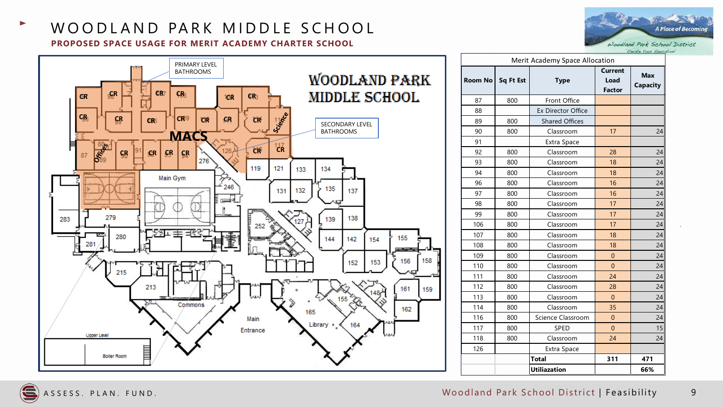### WOODLAND PARK MIDDLE SCHOOL **PROPOSED SPACE USAGE FOR MERIT ACADEMY CHARTER SCHOOL**





| Merit Academy Space Allocation |     |                           |                                         |                               |  |
|--------------------------------|-----|---------------------------|-----------------------------------------|-------------------------------|--|
| Room No   Sq Ft Est            |     | <b>Type</b>               | <b>Current</b><br>Load<br><b>Factor</b> | <b>Max</b><br><b>Capacity</b> |  |
| 87                             | 800 | Front Office              |                                         |                               |  |
| 88                             |     | <b>Ex Director Office</b> |                                         |                               |  |
| 89                             | 800 | <b>Shared Offices</b>     |                                         |                               |  |
| 90                             | 800 | Classroom                 | 17                                      | 24                            |  |
| 91                             |     | Extra Space               |                                         |                               |  |
| 92                             | 800 | Classroom                 | 28                                      | 24                            |  |
| 93                             | 800 | Classroom                 | 18                                      | 24                            |  |
| 94                             | 800 | Classroom                 | 18                                      | 24                            |  |
| 96                             | 800 | Classroom                 | 16                                      | 24                            |  |
| 97                             | 800 | Classroom                 | 16                                      | 24                            |  |
| 98                             | 800 | Classroom                 | 17                                      | 24                            |  |
| 99                             | 800 | Classroom                 | 17                                      | 24                            |  |
| 106                            | 800 | Classroom                 | 17                                      | 24                            |  |
| 107                            | 800 | Classroom                 | 18                                      | 24                            |  |
| 108                            | 800 | Classroom                 | 18                                      | 24                            |  |
| 109                            | 800 | Classroom                 | $\Omega$                                | 24                            |  |
| 110                            | 800 | Classroom                 | $\overline{0}$                          | 24                            |  |
| 111                            | 800 | Classroom                 | 24                                      | 24                            |  |
| 112                            | 800 | Classroom                 | 28                                      | 24                            |  |
| 113                            | 800 | Classroom                 | $\overline{0}$                          | 24                            |  |
| 114                            | 800 | Classroom                 | 35                                      | 24                            |  |
| 116                            | 800 | Science Classroom         | $\overline{0}$                          | 24                            |  |
| 117                            | 800 | SPED                      | $\overline{0}$                          | 15                            |  |
| 118                            | 800 | Classroom                 | 24                                      | 24                            |  |
| 126                            |     | Extra Space               |                                         |                               |  |
|                                |     | <b>Total</b>              | 311                                     | 471                           |  |
|                                |     | <b>Utiliazation</b>       |                                         | 66%                           |  |

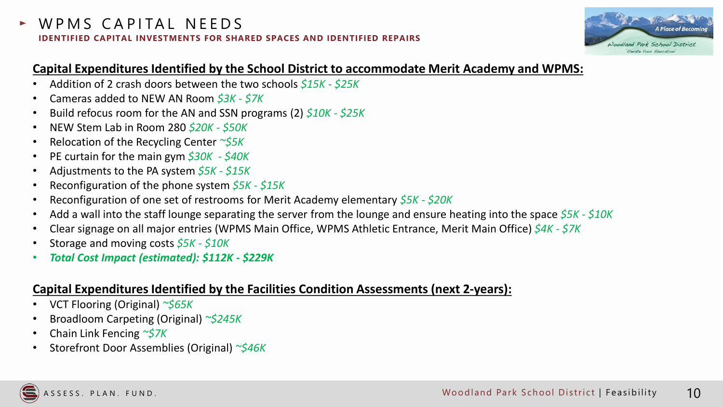# WPMS CAPITAL NEEDS **IDENTIFIED CAPITAL INVESTMENTS FOR SHARED SPACES AND IDENTIFIED REPAIRS**



# **Capital Expenditures Identified by the School District to accommodate Merit Academy and WPMS:**

- Addition of 2 crash doors between the two schools *\$15K - \$25K*
- Cameras added to NEW AN Room *\$3K - \$7K*
- Build refocus room for the AN and SSN programs (2) *\$10K - \$25K*
- NEW Stem Lab in Room 280 *\$20K - \$50K*
- Relocation of the Recycling Center *~\$5K*
- PE curtain for the main gym *\$30K - \$40K*
- Adjustments to the PA system *\$5K - \$15K*
- Reconfiguration of the phone system *\$5K - \$15K*
- Reconfiguration of one set of restrooms for Merit Academy elementary *\$5K - \$20K*
- Add a wall into the staff lounge separating the server from the lounge and ensure heating into the space *\$5K - \$10K*
- Clear signage on all major entries (WPMS Main Office, WPMS Athletic Entrance, Merit Main Office) *\$4K - \$7K*
- Storage and moving costs *\$5K - \$10K*
- *Total Cost Impact (estimated): \$112K - \$229K*

# **Capital Expenditures Identified by the Facilities Condition Assessments (next 2-years):**

- VCT Flooring (Original) *~\$65K*
- Broadloom Carpeting (Original) *~\$245K*
- Chain Link Fencing *~\$7K*
- Storefront Door Assemblies (Original) *~\$46K*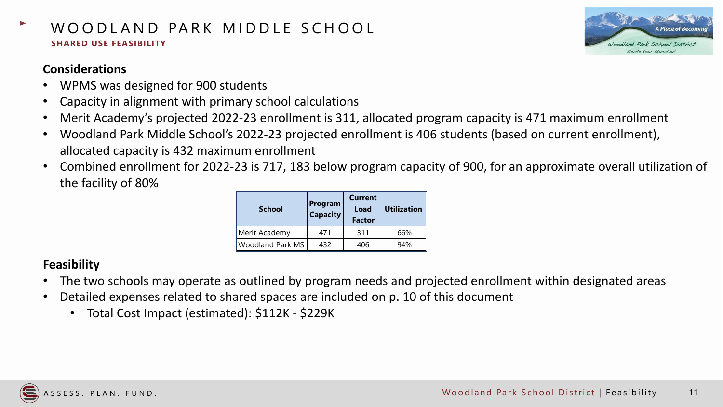# WOODLAND PARK MIDDLE SCHOOL **SHARED USE FEASIBILITY**



# **Considerations**

- WPMS was designed for 900 students
- Capacity in alignment with primary school calculations
- Merit Academy's projected 2022-23 enrollment is 311, allocated program capacity is 471 maximum enrollment
- Woodland Park Middle School's 2022-23 projected enrollment is 406 students (based on current enrollment), allocated capacity is 432 maximum enrollment
- Combined enrollment for 2022-23 is 717, 183 below program capacity of 900, for an approximate overall utilization of the facility of 80%

| <b>School</b>    | Program<br><b>Capacity</b> | <b>Current</b><br>Load<br><b>Factor</b> | <b>Utilization</b> |
|------------------|----------------------------|-----------------------------------------|--------------------|
| Merit Academy    | 471                        | 311                                     | 66%                |
| Woodland Park MS | 432                        | 406                                     | 94%                |

# **Feasibility**

- The two schools may operate as outlined by program needs and projected enrollment within designated areas
- Detailed expenses related to shared spaces are included on p. 10 of this document
	- Total Cost Impact (estimated): \$112K \$229K